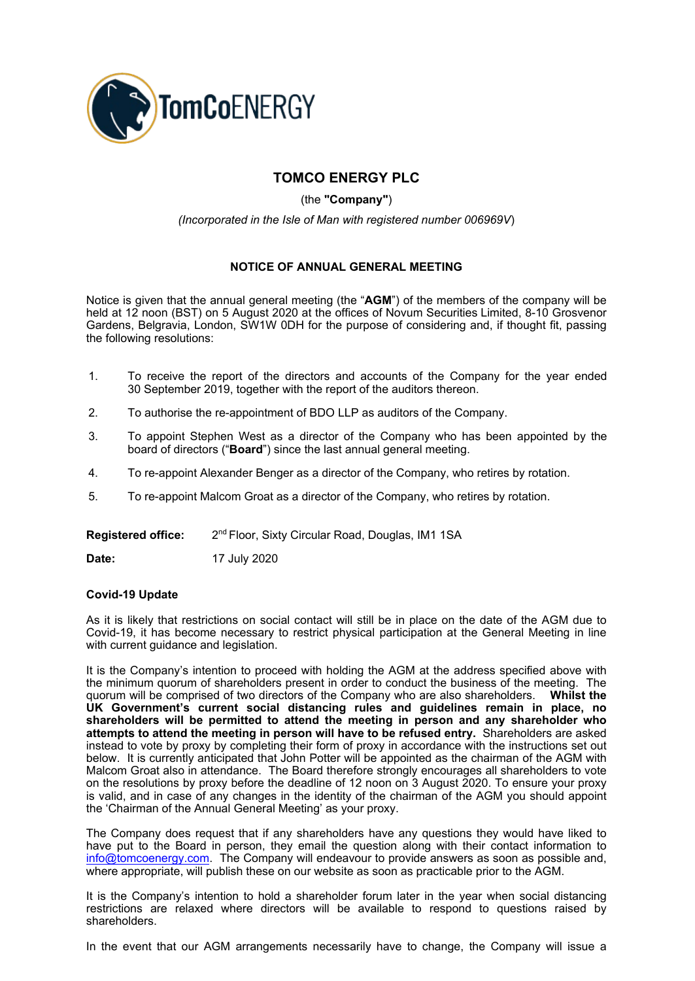

## **TOMCO ENERGY PLC**

(the **"Company"**)

*(Incorporated in the Isle of Man with registered number 006969V*)

## **NOTICE OF ANNUAL GENERAL MEETING**

Notice is given that the annual general meeting (the "**AGM**") of the members of the company will be held at 12 noon (BST) on 5 August 2020 at the offices of Novum Securities Limited, 8-10 Grosvenor Gardens, Belgravia, London, SW1W 0DH for the purpose of considering and, if thought fit, passing the following resolutions:

- 1. To receive the report of the directors and accounts of the Company for the year ended 30 September 2019, together with the report of the auditors thereon.
- 2. To authorise the re-appointment of BDO LLP as auditors of the Company.
- 3. To appoint Stephen West as a director of the Company who has been appointed by the board of directors ("**Board**") since the last annual general meeting.
- 4. To re-appoint Alexander Benger as a director of the Company, who retires by rotation.
- 5. To re-appoint Malcom Groat as a director of the Company, who retires by rotation.

**Registered office:**  2<sup>nd</sup> Floor, Sixty Circular Road, Douglas, IM1 1SA

**Date:** 17 July 2020

## **Covid-19 Update**

As it is likely that restrictions on social contact will still be in place on the date of the AGM due to Covid-19, it has become necessary to restrict physical participation at the General Meeting in line with current guidance and legislation.

It is the Company's intention to proceed with holding the AGM at the address specified above with the minimum quorum of shareholders present in order to conduct the business of the meeting. The quorum will be comprised of two directors of the Company who are also shareholders. **Whilst the UK Government's current social distancing rules and guidelines remain in place, no shareholders will be permitted to attend the meeting in person and any shareholder who attempts to attend the meeting in person will have to be refused entry.** Shareholders are asked instead to vote by proxy by completing their form of proxy in accordance with the instructions set out below. It is currently anticipated that John Potter will be appointed as the chairman of the AGM with Malcom Groat also in attendance. The Board therefore strongly encourages all shareholders to vote on the resolutions by proxy before the deadline of 12 noon on 3 August 2020. To ensure your proxy is valid, and in case of any changes in the identity of the chairman of the AGM you should appoint the 'Chairman of the Annual General Meeting' as your proxy.

The Company does request that if any shareholders have any questions they would have liked to have put to the Board in person, they email the question along with their contact information to [info@tomcoenergy.com.](mailto:info@tomcoenergy.com) The Company will endeavour to provide answers as soon as possible and, where appropriate, will publish these on our website as soon as practicable prior to the AGM.

It is the Company's intention to hold a shareholder forum later in the year when social distancing restrictions are relaxed where directors will be available to respond to questions raised by shareholders.

In the event that our AGM arrangements necessarily have to change, the Company will issue a